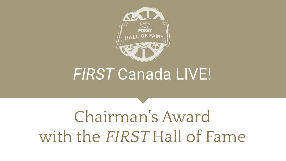

# *FIRST* Canada LIVE!

# Chairman's Award with the FIRST Hall of Fame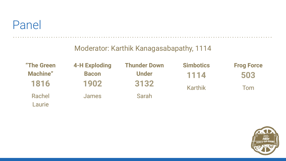

#### Moderator: Karthik Kanagasabapathy, 1114

| "The Green      | <b>4-H Exploding</b> | <b>Thunder Down</b> | <b>Simbotics</b> | <b>Frog Force</b> |
|-----------------|----------------------|---------------------|------------------|-------------------|
| <b>Machine"</b> | <b>Bacon</b>         | <b>Under</b>        | 1114             | 503               |
| 1816            | 1902                 | 3132                | <b>Karthik</b>   | Tom               |
| Rachel          | James                | Sarah               |                  |                   |
| Laurie          |                      |                     |                  |                   |

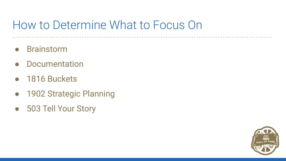# How to Determine What to Focus On

- **Brainstorm**
- Documentation
- 1816 Buckets
- 1902 Strategic Planning
- 503 Tell Your Story

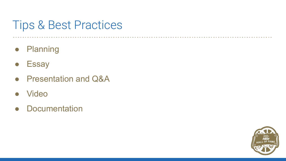# Tips & Best Practices

- Planning
- Essay
- Presentation and Q&A
- **Video**
- Documentation

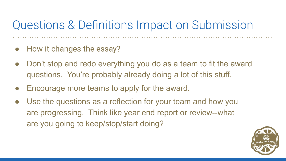# Questions & Definitions Impact on Submission

- How it changes the essay?
- Don't stop and redo everything you do as a team to fit the award questions. You're probably already doing a lot of this stuff.
- Encourage more teams to apply for the award.
- Use the questions as a reflection for your team and how you are progressing. Think like year end report or review--what are you going to keep/stop/start doing?

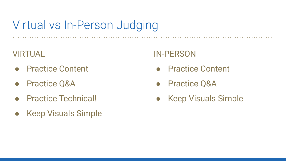# Virtual vs In-Person Judging

#### VIRTUAL

- **Practice Content**
- **Practice Q&A**
- **Practice Technical!**
- **Keep Visuals Simple**

### IN-PERSON

- Practice Content
- Practice Q&A
- Keep Visuals Simple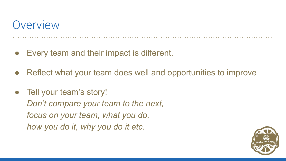### **Overview**

- Every team and their impact is different.
- Reflect what your team does well and opportunities to improve
- Tell your team's story! *Don't compare your team to the next, focus on your team, what you do, how you do it, why you do it etc.*

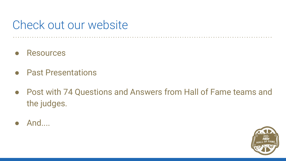# Check out our website

- **Resources**
- Past Presentations
- Post with 74 Questions and Answers from Hall of Fame teams and the judges.
- And....